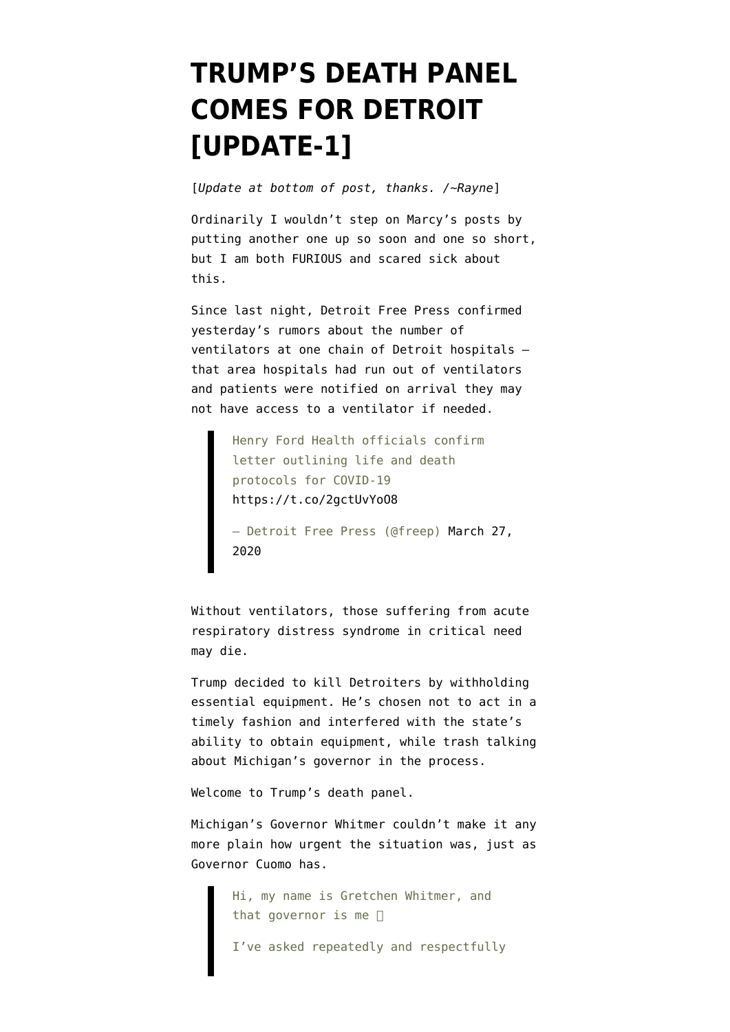## **[TRUMP'S DEATH PANEL](https://www.emptywheel.net/2020/03/27/trumps-death-panel-comes-for-detroit/) [COMES FOR DETROIT](https://www.emptywheel.net/2020/03/27/trumps-death-panel-comes-for-detroit/) [\[UPDATE-1\]](https://www.emptywheel.net/2020/03/27/trumps-death-panel-comes-for-detroit/)**

[*Update at bottom of post, thanks. /~Rayne*]

Ordinarily I wouldn't step on Marcy's posts by putting another one up so soon and one so short, but I am both FURIOUS and scared sick about this.

Since last night, Detroit Free Press confirmed yesterday's rumors about the number of ventilators at one chain of Detroit hospitals that area hospitals had run out of ventilators and patients were notified on arrival they may not have access to a ventilator if needed.

> Henry Ford Health officials confirm letter outlining life and death protocols for COVID-19 <https://t.co/2gctUvYoO8>

— Detroit Free Press (@freep) [March 27,](https://twitter.com/freep/status/1243427300894531584?ref_src=twsrc%5Etfw) [2020](https://twitter.com/freep/status/1243427300894531584?ref_src=twsrc%5Etfw)

Without ventilators, those suffering from acute respiratory distress syndrome in critical need may die.

Trump decided to kill Detroiters by withholding essential equipment. He's chosen not to act in a timely fashion and [interfered with the state's](https://wwjnewsradio.radio.com/articles/after-trump-attacks-whitmer-she-says-fed-supplies-delayed) [ability to obtain equipment](https://wwjnewsradio.radio.com/articles/after-trump-attacks-whitmer-she-says-fed-supplies-delayed), while trash talking about Michigan's governor in the process.

Welcome to Trump's death panel.

Michigan's Governor Whitmer couldn't make it any more plain how urgent the situation was, just as Governor Cuomo has.

Hi, my name is Gretchen Whitmer, and that governor is me  $\Box$ I've asked repeatedly and respectfully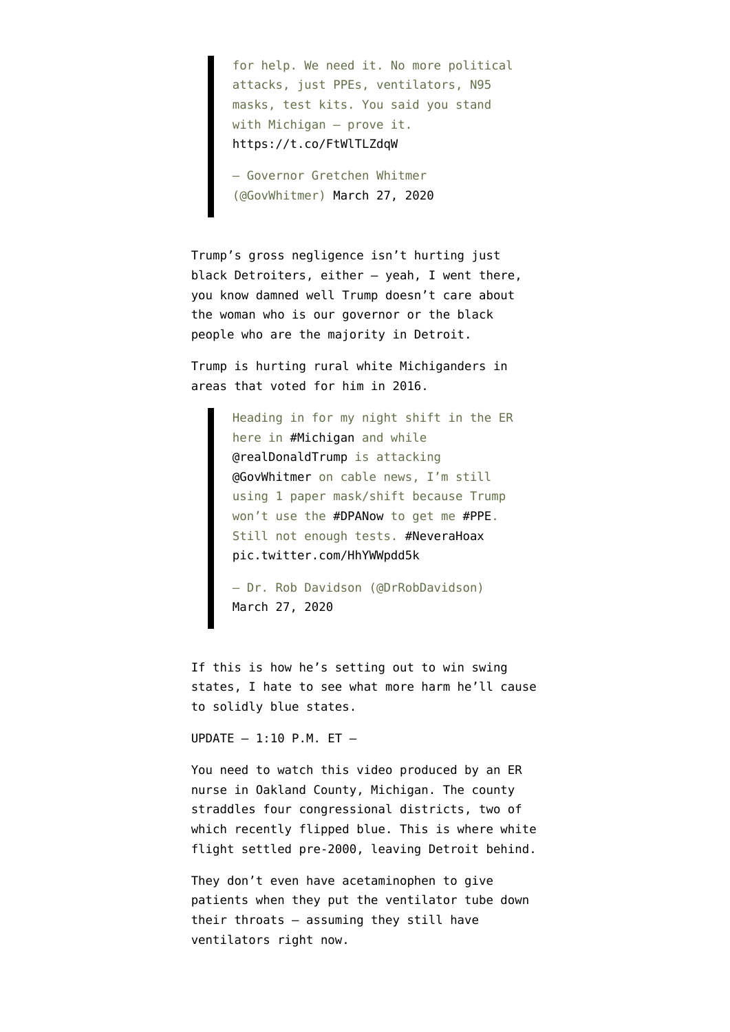for help. We need it. No more political attacks, just PPEs, ventilators, N95 masks, test kits. You said you stand with Michigan — prove it. <https://t.co/FtWlTLZdqW>

— Governor Gretchen Whitmer (@GovWhitmer) [March 27, 2020](https://twitter.com/GovWhitmer/status/1243362096118521856?ref_src=twsrc%5Etfw)

Trump's gross negligence isn't hurting just black Detroiters, either — yeah, I went there, you know damned well Trump doesn't care about the woman who is our governor or the black people who are the majority in Detroit.

Trump is hurting rural white Michiganders in areas that voted for him in 2016.

> Heading in for my night shift in the ER here in [#Michigan](https://twitter.com/hashtag/Michigan?src=hash&ref_src=twsrc%5Etfw) and while [@realDonaldTrump](https://twitter.com/realDonaldTrump?ref_src=twsrc%5Etfw) is attacking [@GovWhitmer](https://twitter.com/GovWhitmer?ref_src=twsrc%5Etfw) on cable news, I'm still using 1 paper mask/shift because Trump won't use the [#DPANow](https://twitter.com/hashtag/DPANow?src=hash&ref_src=twsrc%5Etfw) to get me [#PPE.](https://twitter.com/hashtag/PPE?src=hash&ref_src=twsrc%5Etfw) Still not enough tests. [#NeveraHoax](https://twitter.com/hashtag/NeveraHoax?src=hash&ref_src=twsrc%5Etfw) [pic.twitter.com/HhYWWpdd5k](https://t.co/HhYWWpdd5k)

— Dr. Rob Davidson (@DrRobDavidson) [March 27, 2020](https://twitter.com/DrRobDavidson/status/1243361409808781312?ref_src=twsrc%5Etfw)

If this is how he's setting out to win swing states, I hate to see what more harm he'll cause to solidly blue states.

UPDATE  $-1:10$  P.M. ET  $-$ 

You need to [watch this video](https://www.instagram.com/tv/B-GX-D1DKJ_/) produced by an ER nurse in Oakland County, Michigan. The county straddles four congressional districts, two of which recently flipped blue. This is where white flight settled pre-2000, leaving Detroit behind.

They don't even have acetaminophen to give patients when they put the ventilator tube down their throats — assuming they still have ventilators right now.